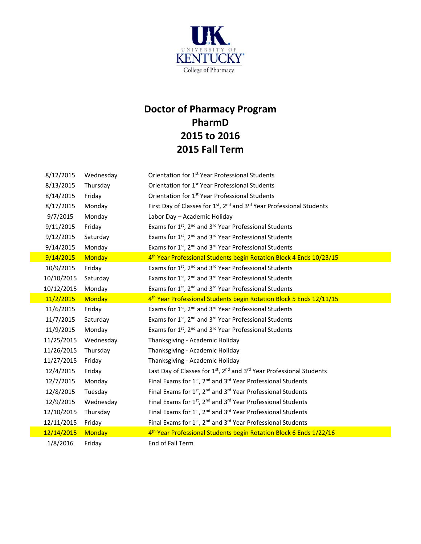

## **Doctor of Pharmacy Program PharmD 2015 to 2016 2015 Fall Term**

| 8/12/2015  | Wednesday     | Orientation for 1 <sup>st</sup> Year Professional Students                                                |
|------------|---------------|-----------------------------------------------------------------------------------------------------------|
| 8/13/2015  | Thursday      | Orientation for 1 <sup>st</sup> Year Professional Students                                                |
| 8/14/2015  | Friday        | Orientation for 1 <sup>st</sup> Year Professional Students                                                |
| 8/17/2015  | Monday        | First Day of Classes for 1 <sup>st</sup> , 2 <sup>nd</sup> and 3 <sup>rd</sup> Year Professional Students |
| 9/7/2015   | Monday        | Labor Day - Academic Holiday                                                                              |
| 9/11/2015  | Friday        | Exams for 1st, 2nd and 3rd Year Professional Students                                                     |
| 9/12/2015  | Saturday      | Exams for 1st, 2nd and 3rd Year Professional Students                                                     |
| 9/14/2015  | Monday        | Exams for 1st, 2 <sup>nd</sup> and 3 <sup>rd</sup> Year Professional Students                             |
| 9/14/2015  | <b>Monday</b> | 4 <sup>th</sup> Year Professional Students begin Rotation Block 4 Ends 10/23/15                           |
| 10/9/2015  | Friday        | Exams for 1st, 2nd and 3rd Year Professional Students                                                     |
| 10/10/2015 | Saturday      | Exams for 1st, 2 <sup>nd</sup> and 3 <sup>rd</sup> Year Professional Students                             |
| 10/12/2015 | Monday        | Exams for 1st, 2nd and 3rd Year Professional Students                                                     |
| 11/2/2015  | Monday        | 4 <sup>th</sup> Year Professional Students begin Rotation Block 5 Ends 12/11/15                           |
| 11/6/2015  | Friday        | Exams for 1st, 2 <sup>nd</sup> and 3 <sup>rd</sup> Year Professional Students                             |
| 11/7/2015  | Saturday      | Exams for 1st, 2nd and 3rd Year Professional Students                                                     |
| 11/9/2015  | Monday        | Exams for 1st, 2nd and 3rd Year Professional Students                                                     |
| 11/25/2015 | Wednesday     | Thanksgiving - Academic Holiday                                                                           |
| 11/26/2015 | Thursday      | Thanksgiving - Academic Holiday                                                                           |
| 11/27/2015 | Friday        | Thanksgiving - Academic Holiday                                                                           |
| 12/4/2015  | Friday        | Last Day of Classes for 1 <sup>st</sup> , 2 <sup>nd</sup> and 3 <sup>rd</sup> Year Professional Students  |
| 12/7/2015  | Monday        | Final Exams for 1st, 2 <sup>nd</sup> and 3 <sup>rd</sup> Year Professional Students                       |
| 12/8/2015  | Tuesday       | Final Exams for 1st, 2nd and 3rd Year Professional Students                                               |
| 12/9/2015  | Wednesday     | Final Exams for 1st, 2 <sup>nd</sup> and 3 <sup>rd</sup> Year Professional Students                       |
| 12/10/2015 | Thursday      | Final Exams for 1st, 2 <sup>nd</sup> and 3 <sup>rd</sup> Year Professional Students                       |
| 12/11/2015 | Friday        | Final Exams for 1st, 2 <sup>nd</sup> and 3 <sup>rd</sup> Year Professional Students                       |
| 12/14/2015 | Monday        | 4 <sup>th</sup> Year Professional Students begin Rotation Block 6 Ends 1/22/16                            |
| 1/8/2016   | Friday        | End of Fall Term                                                                                          |